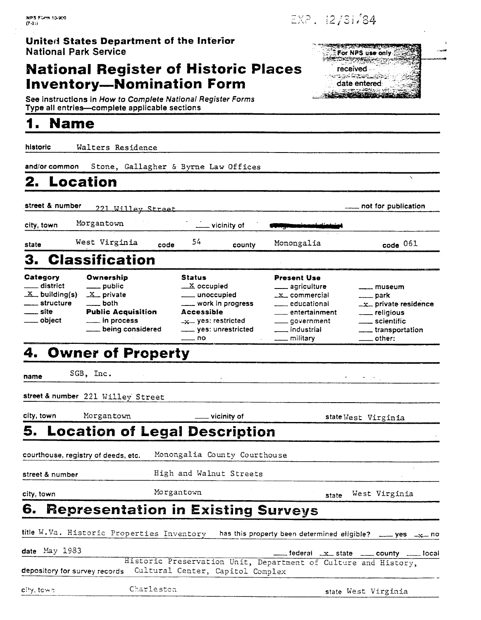### **United States Department of the Inferior National Park Service**

### **National Register of Historic Places Inventory-Nomination Form**

See instructions in How to Complete National Register Forms Type all entries-complete applicable sections

### **1. Name**

historic Walters Residence

and/or common Stone, Gallagher & Byme **Law** Offices

## **2.** Location **and Security 2.** Location

street & number **731 Wi** 11 **PV Stre~t** - not for publlcatlon

 $\mathcal{L}^{\text{max}}$ city, town Morgantown vicinity of

state West Virginia code 54 county Monongalia code 061

# **3. Classification**

|                                                                                       |                                                                                                                            |                                                                                                                                                          |                                                                                                                                                                                      | ----                                                                                                                                                  |
|---------------------------------------------------------------------------------------|----------------------------------------------------------------------------------------------------------------------------|----------------------------------------------------------------------------------------------------------------------------------------------------------|--------------------------------------------------------------------------------------------------------------------------------------------------------------------------------------|-------------------------------------------------------------------------------------------------------------------------------------------------------|
|                                                                                       | 3. Classification                                                                                                          |                                                                                                                                                          |                                                                                                                                                                                      |                                                                                                                                                       |
| Category<br>___ district<br>$X$ building(s)<br>___ structure<br>—— site<br>___ object | Ownership<br>____ public<br>$X$ private<br>____ both<br><b>Public Acquisition</b><br>__ in process<br>___ being considered | <b>Status</b><br>$\underline{\mathbf{X}}$ occupied<br>____ work in progress<br><b>Accessible</b><br>$-x$ yes: restricted<br>yes: unrestricted<br>____ no | <b>Present Use</b><br>_____ agriculture<br>$-x$ commercial<br><u>_</u> ___ educational<br><u>__</u> entertainment<br>____ government<br><u>__</u> industrial<br><u>__</u> _ military | $\equiv$ museum<br>$\frac{1}{2}$ park<br>$-x$ private residence<br>____ religious<br>____ scientific<br>transportation<br>$\rule{1em}{0.15mm}$ other: |

## **4. Owner of Property**

name SGB, Inc. The set of the set of the set of the set of the set of the set of the set of the set of the set

street & number 221 Willey Street extreet & number 221 Willey Street<br>city, town Morgantown - vicinity of state West Virginia

## **5. Location of Legal Description**

courthouse, registry of deeds, etc. Monongalia County Courthouse

street & number **High and Walnut Streets** 

city, town **Example 2018** Morgantown Morgantown state West Virginia

**6. Representation in Existing Surveys**  title W. Va . Historic Properties Inventory has this property been determined eligible? - yes -% no

date May 1983 **federal Allen Construction Construction** Unit, Department of Culture and History, **4 and Historic Preservation Unit, Department of Culture and History,** depository for survey records Cultural Center, Capitol Complex

**c:+y,** tc% *7* Charleston -- state West Virginia

received فأسلابهم والمنافسات - 12 date entered:

*COMMERCIAL* For NPS use only ETRISPARAN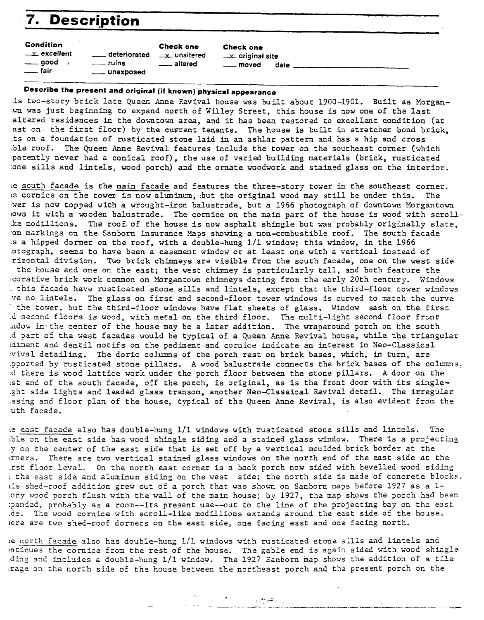| 7. Description                                                               |                                                      |                                                            |                                                            |  |  |  |  |
|------------------------------------------------------------------------------|------------------------------------------------------|------------------------------------------------------------|------------------------------------------------------------|--|--|--|--|
| <b>Condition</b><br>$-x$ excellent<br>$\rule{1em}{0.15mm} = 500d$<br>—— fair | ___ deteriorated<br>$\equiv$ ruins<br>____ unexposed | Check one<br><u>Let</u> unaltered<br><u>__</u> ___ altered | Check one<br>x. original site<br><u>_</u> __ moved<br>date |  |  |  |  |

### **Describe the present and original (if known) physical appearance**

.is two-story brick late Queen Anne Revival house was built about 1900-1901, Built as Morganwn was just beginning to expand north of Willey Street, this house is now one of the last .altered residences in the downtown area, and it has been restored to excelient condition (at ast on, the first floor) by the current tenants. The house is built in stretcher bond brick, .ts on a foundation of rusticated stone laid in *an* ashlar pattern and has a hip and cross .ble roof. **The** Queen Anne Revival features include the tower on the southast corner (which 'parently never had a conical roof), the use of varied building materials (brick, rusticated :one sills and lintels, wood porch) and the ornate wosdwork and stained glass on the Interior.

~e south facade is the **main** facade and features the thee-story tower in the southeast corner. LC cornice on the tower is now aluminum, but the original wood may still be under this. The wer is now topped with a wrought-iron balustrade, but a 1966 photograph of downtown Morgantown lows it with a moden balustrade. The cornice on the main part of the house is wood with scroll- .ke modiliions. The roof. of the house is now asphalt shingle but was probably originally slate, 'om markings on the Sanborn Insurance Maps **showing** a non-combustible roof. The south facade .s a hipped dower on the roof, with a double-hung **E/l** window; this window, in the 1966 .otograph, seems to have been a casement window or at least one with a vertical instead of rizontal division. Two brick chinneys are visible from the south facade, one on the west: side the house and one on the east; the west chimney is particularly tall, and both feature the bcorative brick **work** common on Morgantown chimneys dating from the early 20th century. Windows . this facade have rusttcated stone sills and lintels, except that the third-floor tower windows ve no lintels. The glass on first and second-floor tower windows is curved to match the curve the zower, but the third-floor windows have flat sheets of glass. Window sash on **the** first d second floors is wood, with metal on the third floor. The multi-light second floor front zdsw in the center of the house may be a later addition. **The** wraparound porch on the south .d part of the west, facades would be typical of a **Queen be** Revival house, while the triangulzr idiment and dentil motifs on the pediment and cornice indicate an interest in Neo-Classical .viva1 detailing. The doric columns of the porch rest on brick bases, which, in turn, are ?ported by rusticated stone pillars. **A** wood balustrade connects the brick bases of the columns. .cl tnere is wood lattice work under the porch floor between the stone pillars. **A** door on the **!st** end of the south facade, off the porch, is original, as is the front door with its single- .ght side lights and leaded glass transom, another Neo-Classical Revival detail. The irregular essing and floor plan of the house, typical of the Queen Anne Revival, is also evident from the luth facade.

Le east facade also has double-hung l/i windows with rusticated stone sills and lhtels. The ble on the east side has wood shingle siding and a stained glass window. There is a projecting .y on the center of the east side that **is** set off by a vertical moulded brick border at the )Thers. There are two vertical stained glass windows on the north end of the east side at the .rst floor level. On the north east comer is a back porch now sided with bevelled wood siding : the east side and aluminum siding on the west. side; the north side is made of concrete blocks. his shed-roof addition grew out of a porch that was shown on Sanborn maps before 1927 as a l- :ory wood porch flush with the wall of the main house; by 1927, the map shows the porch had been :?anded, probably as a room--its present use--out 60 the line of the projecting bay on the *east*  .dl. **The** wood cornice with scroll-like modillions extends around the east side of the house. lere are two shed-roof dormers on the east side, one facing east and one facing north.

le north facade also has double-hung l/h windows with rusticated stone sills and lintels and intinues the cornice from the rest of the house. The gable end is again sided with wood shingle .ding azd includes a double-hung 1/1 window. The 1927 Sanbom **inap** shows the addition of a tile .rage on the north side of the house between the northeast porch and the present porch on the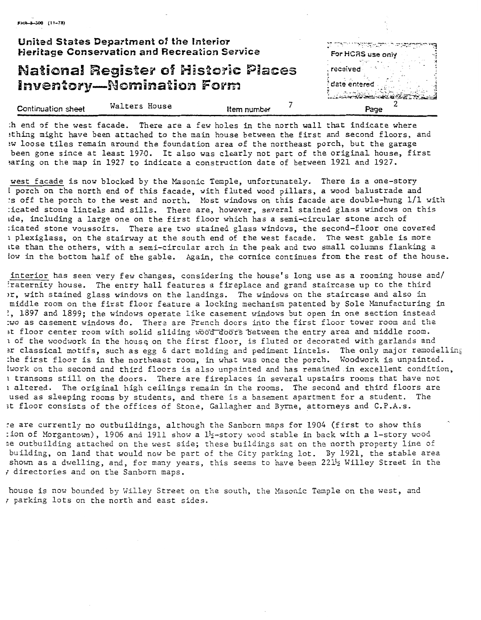|                    | United States Department of the Interior<br><b>Heritage Conservation and Recreation Service</b> |             | <u>کتاب در مستقامها کا کتاب در استفاده کار در استفاده استفاده استفاده استفاده استفاده استفاده استفاده استفاده است</u><br>For HCRS use only |
|--------------------|-------------------------------------------------------------------------------------------------|-------------|--------------------------------------------------------------------------------------------------------------------------------------------|
|                    | <b>National Register of Historic Places</b><br><b>Inventory-Nomination Form</b>                 |             | . received<br>date entered                                                                                                                 |
| Continuation sheet | Walters House                                                                                   | Item number | Page                                                                                                                                       |

HR-3-300 (11-78)

:h end of the west facade. There are a few holes in the north wall that indicate where !thing might have been attached to the main house between the first and second floors, and 3w loose tiles remain around the foundation area of the northeast porch, but the garage been gone since at least 1970. It also was clearly not part of the original house, first aring on the map in 1927 to indicate a construction date of between 1921 and 1927.

west facade is now blocked by the Masonic Temple, unfortunately. There is a one-story 1 porch on the north end of this facade, with fluted wood pillars, a wood balustrade and **:s** off the porch to the west and north. klost windows on this facade are double-hung 1/1 with :icated stone lintels and sills. There are, however, several stained glass windows on this tde, including a large one on the first floor which has a semi-circular stone arch of :icated stone voussoirs. There are two stained glass windows, the second-floor one covered **<sup>1</sup>**plexiglass, on the stairway at the south end of the west facade. The west gable is more ite than the others, with a semi-circular arch in the peak and two small columns flanking a low in the bottom half of bhe gable. Again, the cornice continues from the rest of the house.

interior has seen very few changes, considering the house's long use as a rooming house and/ iraternity house. The entry hall features a fireplace and grand staircase up to the third )r, with stained glass windows on the landings. The windows on the staircase and also in middle room on the first floor feature a locking mechanism patented by Sole Manufacturing in !, 1897 and 1899; the windows operate like casement windows but open in one section instead :wo as casement windows do. There are French doors into the first floor tower room and the it floor center room with solid sliding wood doors between the entry area and middle room. 1 of the woodwork in the house on the first floor, is fluted or decorated with garlands and ?r classical motifs, such as egg & dart molding and pediment lintels. The only major remodeiliq :he first floor is in the northeast room, in what was once the porch. Woodwork is unpainted. lwork on the second and third floors is also unpainted and has remained in excellent condition, I transoms still on the doors. There are fireplaces in several upstairs rooms that have not **<sup>1</sup>**altered. The original high ceilings remain in the rooms. The second and third floors are used as sleeping rooms by students, and there is a basement apartment for a student. The 3t floor consists of the offices of Stone, Gallagher and Byrne, attorneys and C.P.A.S.

re are currently no outbuildings, although the Sanborn maps for 1904 (first to show this : ion of Morgantown), 1906 and 1911 show a  $1\frac{1}{2}$ -story wood stable in back with a 1-story wood ne outbuilding attached on the west side; these buildings sat cn the north property line of building, on land that would now be part of the City parking lot. By 1921, the stable area shown as a dwelling, and, for many years, this seems to have been  $221\frac{1}{2}$  Willey Street in the **I** directories and on the Sanborn maps.

house is now bounded by Willey Street on the south, the Hasonic Temple on the west, and **r** parking lots on the north and east sides.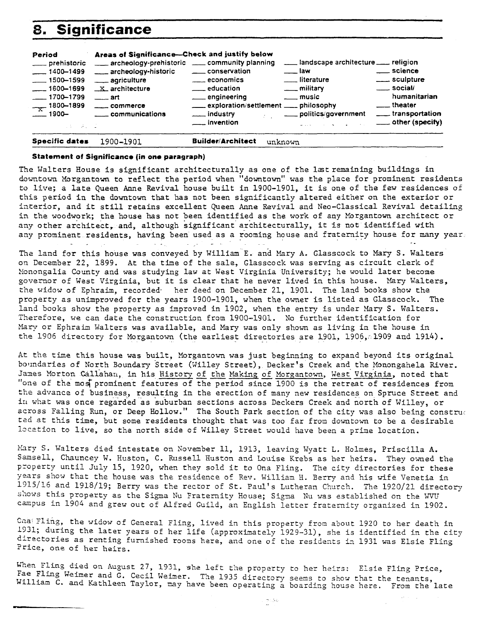| 8.                                                                                                                                                                                           | <b>Significance</b>                                                                                                                                                                                               |                                                                                                                                                                   |                                                                                                                                                                                                                                                                                                                                                                                       |                                                                                                                 |
|----------------------------------------------------------------------------------------------------------------------------------------------------------------------------------------------|-------------------------------------------------------------------------------------------------------------------------------------------------------------------------------------------------------------------|-------------------------------------------------------------------------------------------------------------------------------------------------------------------|---------------------------------------------------------------------------------------------------------------------------------------------------------------------------------------------------------------------------------------------------------------------------------------------------------------------------------------------------------------------------------------|-----------------------------------------------------------------------------------------------------------------|
| Period<br>___ prehistoric<br>$\frac{1}{2}$ 1400-1499<br>$\frac{1}{2}$ 1500-1599<br>$\frac{1}{2}$ 1600-1699<br>$-1700 - 1799$<br>$-\frac{1800-1899}{x}$<br>$\equiv$ 1900–<br>$1.3 - 3.1 - 2.$ | Areas of Significance-Check and justify below<br>archeology-prehistoric __ community planning<br>archeology-historic<br>_____ agriculture<br>$X$ architecture<br>$\equiv$ art<br>_____ commerce<br>communications | ____ conservation<br>$\equiv$ economics<br><u>__</u> education<br>engineering<br>exploration/settlement ____ philosophy<br>___ industry<br><u>__</u> __ invention | landscape architecture ___ religion<br><u>__</u> __ law<br><u>__</u> __ literature<br>____ military<br><u>_</u> __ music<br>politics/government<br><b>Example 2018 Contract Contract Contract Contract Contract Contract Contract Contract Contract Contract Contract Contract Contract Contract Contract Contract Contract Contract Contract Contract Contract Contract Contract</b> | ____ science<br>_____ sculpture<br>$\equiv$ social/<br>humanitarian<br><u>__</u> theater<br>____ transportation |
| Specific dates                                                                                                                                                                               | 1900-1901                                                                                                                                                                                                         | <b>Builder/Architect</b><br>unknown                                                                                                                               |                                                                                                                                                                                                                                                                                                                                                                                       |                                                                                                                 |

### **Statement of Significance (in one paragraph)**

The Walters Eouse is significant architecturally as one of the lat remaining buildings in downtown Morgantown to reflect the period when "downtown" was the place for prominent residents to live; a iate Queen Anne Revivai house built in 1900-1901, it is one of the few residences of this period in the downtown that **has** not been significantly altered either on the exterior or iaterior, and it still retains excellent Queen Anne Revival and Neo-Classical Revival detailing in the woodwork; the house has not been identified as the work of any Morgantown architect or any other architect, and, although significant architecturally, it is not identified with any prominent residents, having been used as a rooming house and fraternity house for many year.

**The** land for this house was conveyed by William E. and Mary **A,** Glasscock to **Marp** S. Walters on December **22,** 1899. At the time of the sale, Glasscock was serving as circuit clerk of lionongalia County and was studying law at West Virginia University; he would later become governor of West Virginia, but it is clear that he never lived in this house. Mary Walters, the widow of Ephraim, recorded. her deed on December 21, 1901. The land books show the property as unimproved for the years 1900-1901, when the owner is listed **as** Glasscock. The land books show the property as improved in 1902, when the entry is under Mary S. Walters. Therefore, we can date the construction from l9OO-l9Ol. No further identification for Mary or Ephraim Walters was available, and Mary was only shown as living in the house in the 1906 directory for Morgantown (the earliest directories are 1901, 1906, 1909 and 1914).

At the the this house was built, Morgantown was just beginning to expand beyond its original bonndariea of North Boundary Street (Willey Street), Decker's Creek and the Monongahela River. Janes Morton Callahan, in his History of the Making of Morgantown, West Virginia, noted that It the time this house was built, Morgantown was just beginning to expand beyond its original<br>Doundaries of North Boundary Street (Willey Street), Decker's Creek and the Monongahela River.<br>James Morton Callahan, in his <u>Hi</u> the advance of business, resulting in the erection of many new residences on Spruce Street and **ia** what was once regarded as suburban sections across Deckers Creek and north of Willey, or across Falling Run, or Deep Hollow." The South Park section of the city was also being construe ted at this time, but some residents thought that was too far from downtown to be a desirable location to live, so the north side of Willey Street would have been a prime location.

Mary S. Walters died intestate on November 11, 1913, leaving Wyatt L. Holmes, Priscilla A. Samsell, Chauncey W. Huston, C. Russell Huston and Louise Krebs as her heirs. They owned the property until July 15, 1920, when they sold it to Ona Fling. The city directories for these years show that the house was the residence of Rev. William H. Berry and his wife Venetia in 1315/16 and 1918/19; Berry was the rector of St. Paul's Lutheran Church. The 1920/21 directory shows this property as the Sigma Nu Fraternity House; Sigma Nu was established on the WW campus in 1904 and grew out of Alfred Guild, an English letter fraternity organized in 1902.

Cha: Fling, the widow of General Fling, lived in this property from about 1920 to her death in 1331; during the later years of her life (approximately 1929-31), she is identified in the city directories as renting furnished rooms here, and one of the residents in 1931 was Elsie Fling Price, one of her heirs.

When Fling died on August 27, 1931, she left the property to her heirs: Elsie Fling Price, Fae Fling Weimer and G. Cecil Weimer. The 1935 directory seems to show that the tenants,<br>William C. and Kathleen Taylor, may have been operating a boarding house here. From the late

 $\mathbb{R}^n \mathcal{G}$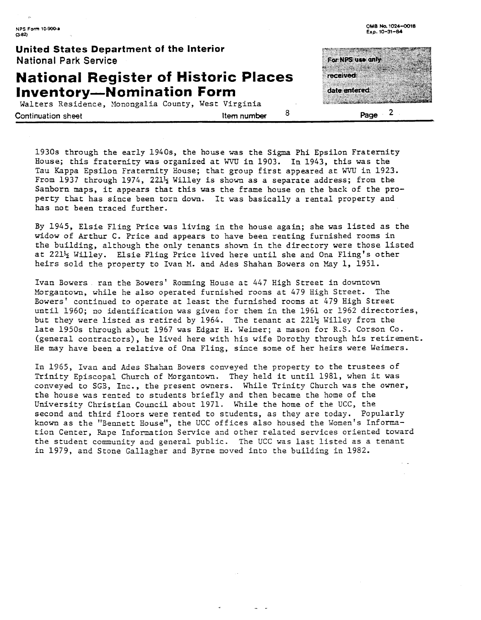**United States Department of the Interior National Park Service** 

### **National Register of Historic Places Inventory-Nomination Form**

Walters Residence, Monongalia County, West Virginia **Continuation sheet Item number**  $\frac{8}{2}$  **Page**  $\frac{2}{3}$ 

For NPS use anly *received* date entered

Exp. 10-31-84

1930s through the early 1940s, the house was the Sigma Phi Epsilon Fraternity House; this fraternity was organized at WW in 1903. In 1943, this was the Tau Kappa Epsilon Fraternity House; that group first appeared at WW in 1923. From 1937 through 1974, 221<sup>1</sup>/<sub>2</sub> Willey is shown as a separate address; from the Sanborn maps, it appears that this was the frame house on the back of the property that has since been torn down. It was basically a rental property and has not been traced further.

By 1945, Elsie Fling Price was living in the house again; she was listed as the widow of Arthur C. Price and appears to have been renting furnished rooms in the building, although the only tenants shown in the directory were those listed at 221% WLLley. Elsie Fling Price lived here until she and **Ona** Fling's other heirs old the property to Ivan M. and Ades Shahan Bowers on May 1, 1951.

Ivan Bowers ran the Bowers' Romming House at 447 High Street in downtown Morgantown, while he also operated furnished rooms at 479 High Street. The Bowers' continued to operate at least the furnished rooms at 479 High Street until 1960; no identification was given for them in the 1961 or 1952 directories, but they were listed as retired by 1964. The tenant at  $221\frac{1}{2}$  Willey from the late 1950s through about 1967 was Edgar H. Weimer; a mason for R.S. Corson Co. (general contractors), he lived here with his wife Dorothy through hls retirement. (general contractors), he lived here with his wite Dorothy through his retiremes.<br>He may have been a relative of Ona Fling, since some of her heirs were Weimers.<br>In 1965, Ivan and Ades Shahan Bowers conveyed the property t

In 1965, Ivan and Ades Shahan Bowers conveyed the property to the trustees of Trinity Episcopal Church of Morgantown. They held it until 1981, when it was conveyed to SGS, Inc., the present owners. While Trinity Church was the owner, the house was rented to students briefly and then became the home of the University Christian Council about 1971. While the home of the UCC, the second and third floors were rented to students, as they are today. Popularly known as the "Bennett House", the UCC offices also housed the Women's Information Center, Rape Information Service and other related services oriented toward the student community and general public. The **UCC** was last listed as a tenant in 1979, and Stone Gallagher and Byrne moved into the building in 1982.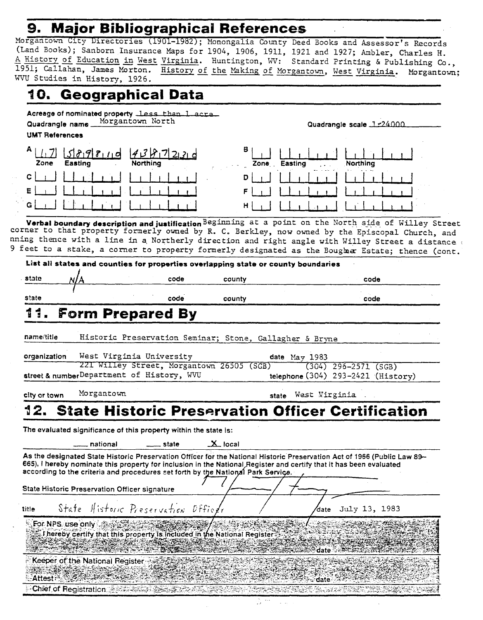### **9. Major Bibliographical References**

Morgantown City Directories (l9Ol-l982) ; Monongalia County Deed Books and Assessor' **s** Records (Land Books); Sanborn Insurance Maps for 1904, 1906, 1911, 1921 and 1927; Ambler, Charles H. Morgantown City Directories (1901-1982); Monongalia County Deed Books and Assessor's Records<br>(Land Books); Sanborn Insurance Maps for 1904, 1906, 1911, 1921 and 1927; Ambler, Charles H.<br>A History of Education in West Virgi A History of Education in West Virginia. Huntington, WV: Standard Printing & Publishing Co., 1951; Callahan, James Morton. History of the Making of Morgantown, West Virginia. Morgantown; WVU Studies in History, 1926.

-

Quadrangle scale **7** 76Of1n

| 10. Geographical Data                                                                                       |   |              |                     |
|-------------------------------------------------------------------------------------------------------------|---|--------------|---------------------|
| Acreage of nominated property less than 1 acre<br>Quadrangle name Morgantown North<br><b>UMT References</b> |   |              | Quadrangle scale 1: |
| $A \perp$<br>$589810$ 1981<br>Easting<br><b>Northing</b><br>Zone                                            | в | Zone Easting | Northing            |
| c<br>Ε                                                                                                      | D |              |                     |

Verbal boundary description and justification Beginning at a point on the North side of Willey Street corner to that property formerly owned by R. **C.** Berkley, now owned by the Episcopal Church, and nning thence with a line in a Northerly direction and right angle with Willey Street a distance , 9 feet to a stake, a corner to property formerly designated as the Boughar Estate; thence (cont.

|                         |                                 |                                                                              |      |                                                                                  | List all states and counties for properties overlapping state or county boundaries |                                                                                                                                                                                                                                                 |
|-------------------------|---------------------------------|------------------------------------------------------------------------------|------|----------------------------------------------------------------------------------|------------------------------------------------------------------------------------|-------------------------------------------------------------------------------------------------------------------------------------------------------------------------------------------------------------------------------------------------|
| state                   |                                 |                                                                              | code | county                                                                           |                                                                                    | code                                                                                                                                                                                                                                            |
| state                   |                                 |                                                                              | code | county                                                                           |                                                                                    | code                                                                                                                                                                                                                                            |
| 11.                     |                                 | <b>Form Prepared By</b>                                                      |      |                                                                                  |                                                                                    |                                                                                                                                                                                                                                                 |
| name/title              |                                 |                                                                              |      |                                                                                  | Historic Preservation Seminar; Stone, Gallagher & Bryne                            |                                                                                                                                                                                                                                                 |
| organization            |                                 | West Virginia University                                                     |      | 221 Willey Street, Morgantown 26505 (SGB)                                        | date $May 1983$                                                                    | $(304)$ 296-2571 (SGB)                                                                                                                                                                                                                          |
|                         |                                 | street & numberDepartment of History, WVU                                    |      |                                                                                  |                                                                                    | telephone $(304)$ 293-2421 (History)                                                                                                                                                                                                            |
| city or town            | Morgantown                      |                                                                              |      |                                                                                  | West Virginia<br>state                                                             |                                                                                                                                                                                                                                                 |
|                         | national                        | The evaluated significance of this property within the state is:<br>__ state |      | $\mathbf{X}$ local                                                               |                                                                                    |                                                                                                                                                                                                                                                 |
|                         |                                 |                                                                              |      | according to the criteria and procedures set forth by the National Park Service. |                                                                                    | As the designated State Historic Preservation Officer for the National Historic Preservation Act of 1966 (Public Law 89-<br>665), I hereby nominate this property for inclusion in the National Register and certify that it has been evaluated |
|                         |                                 | State Historic Preservation Officer signature                                |      |                                                                                  |                                                                                    |                                                                                                                                                                                                                                                 |
| title                   |                                 | State Historic Preservation Officer                                          |      |                                                                                  | date                                                                               | July 13, 1983                                                                                                                                                                                                                                   |
| <b>For NPS</b> use only |                                 |                                                                              |      | Thereby certify that this property is included in the National Register          | date ⊹                                                                             |                                                                                                                                                                                                                                                 |
| Attest:                 | Keeper of the National Register |                                                                              |      |                                                                                  |                                                                                    |                                                                                                                                                                                                                                                 |
|                         | Chief of Registration Article   |                                                                              |      |                                                                                  |                                                                                    |                                                                                                                                                                                                                                                 |

3 ٣ - 12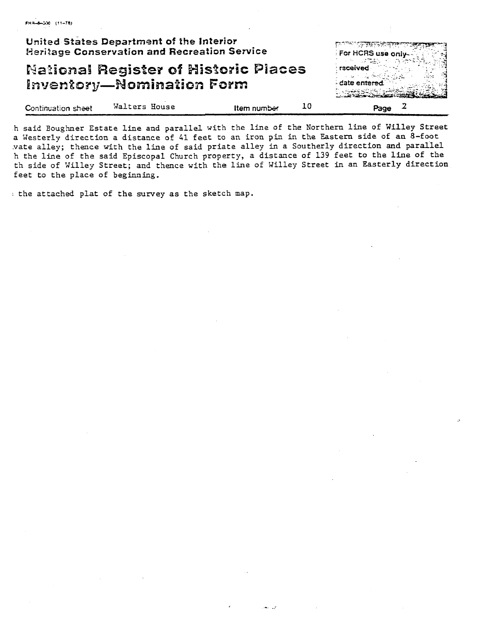|                    | United States Department of the Interior<br><b>Heritage Conservation and Recreation Service</b> |             |    | <u>इत्याच्या स्मृतस्य सम्पर्कतात स्वर</u><br>For HCRS use only -- |
|--------------------|-------------------------------------------------------------------------------------------------|-------------|----|-------------------------------------------------------------------|
|                    | <b>National Register of Historic Places</b><br><b>Inventory-Nomination Form</b>                 |             |    | received<br>date entered                                          |
| Continuation sheet | Walters House                                                                                   | Item number | 10 | Page                                                              |

said Boughner Estate line and parallel with the line of the Northern line of Willey Street Westerly direction a distance of 41 feet to an iron pin in the Eastern side of an **8-foot**  .vate alle;; thence with the line of said priate alley in a Southerly direction **and** paraliel h the line of the said Episcopal Church property, a distance of 139 feet to the **line** of the th side of Willey Street; and thence with the line of Willey Street in an Easterly direction feet to the place of beginning.

: the attached plat of the survey as the sketch map.

FHR-8-200 (11-78)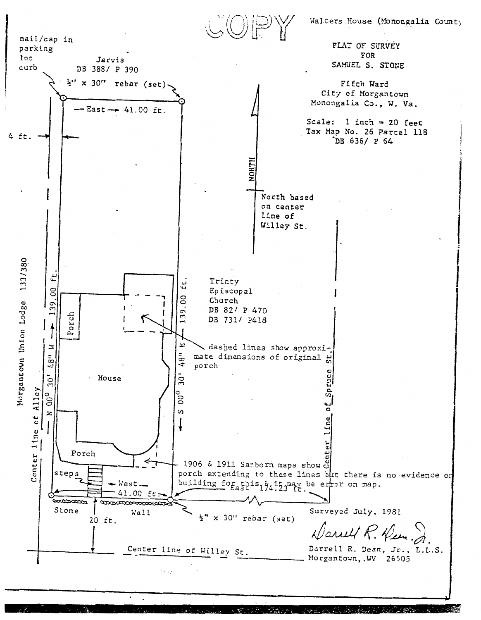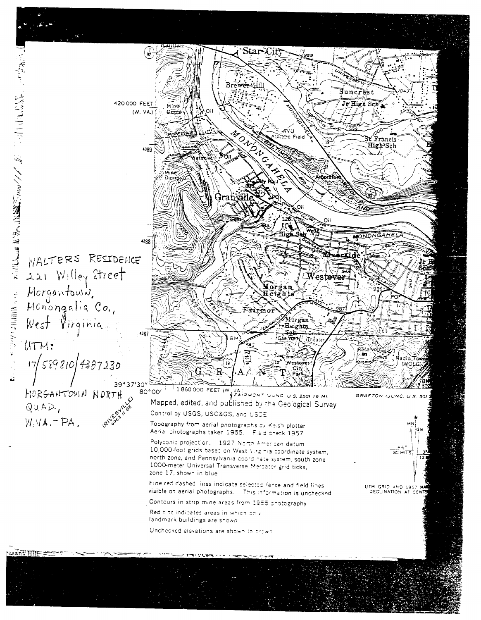